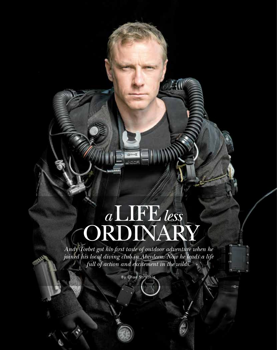## ORDINARY *<sup>a</sup>*life*less*

Ă

*Andy Torbet got his first taste of outdoor adventure when he joined his local diving club in Aberdeen. Now he leads a life full of action and excitement in the wilds.*

By Chae Strathie